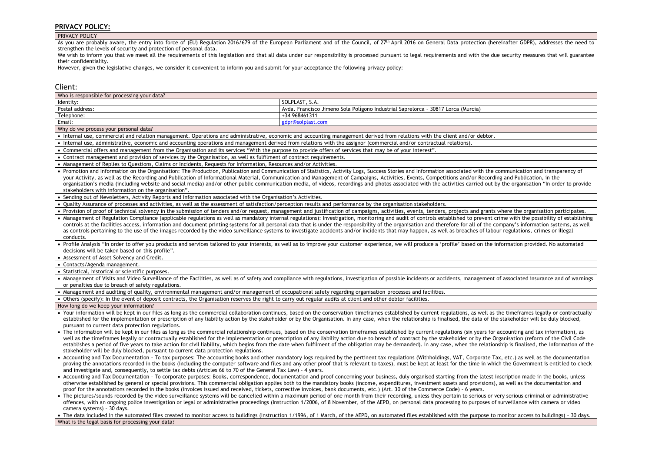### **PRIVACY POLICY:**

### PRIVACY POLICY

As you are probably aware, the entry into force of (EU) Regulation 2016/679 of the European Parliament and of the Council, of 27th April 2016 on General Data protection (hereinafter GDPR), addresses the need to strengthen the levels of security and protection of personal data.

We wish to inform you that we meet all the requirements of this legislation and that all data under our responsibility is processed pursuant to legal requirements and with the due security measures that will guarantee their confidentiality.

However, given the legislative changes, we consider it convenient to inform you and submit for your acceptance the following privacy policy:

## Client:

| Who is responsible for processing your data?                                                                                                                                                                                                                                                                                                                                                                                                                                                                                                                                                                                                                                                                    |                                                                                                                                                                                                                                                                                                                                                                                                                                                                                                                                                                                                                                                                                       |  |
|-----------------------------------------------------------------------------------------------------------------------------------------------------------------------------------------------------------------------------------------------------------------------------------------------------------------------------------------------------------------------------------------------------------------------------------------------------------------------------------------------------------------------------------------------------------------------------------------------------------------------------------------------------------------------------------------------------------------|---------------------------------------------------------------------------------------------------------------------------------------------------------------------------------------------------------------------------------------------------------------------------------------------------------------------------------------------------------------------------------------------------------------------------------------------------------------------------------------------------------------------------------------------------------------------------------------------------------------------------------------------------------------------------------------|--|
| Identity:                                                                                                                                                                                                                                                                                                                                                                                                                                                                                                                                                                                                                                                                                                       | SOLPLAST, S.A.                                                                                                                                                                                                                                                                                                                                                                                                                                                                                                                                                                                                                                                                        |  |
| Postal address:                                                                                                                                                                                                                                                                                                                                                                                                                                                                                                                                                                                                                                                                                                 | Avda. Francisco Jimeno Sola Polígono Industrial Saprelorca - 30817 Lorca (Murcia)                                                                                                                                                                                                                                                                                                                                                                                                                                                                                                                                                                                                     |  |
| Telephone:                                                                                                                                                                                                                                                                                                                                                                                                                                                                                                                                                                                                                                                                                                      | +34 968461311                                                                                                                                                                                                                                                                                                                                                                                                                                                                                                                                                                                                                                                                         |  |
| Email:                                                                                                                                                                                                                                                                                                                                                                                                                                                                                                                                                                                                                                                                                                          | gdpr@solplast.com                                                                                                                                                                                                                                                                                                                                                                                                                                                                                                                                                                                                                                                                     |  |
| Why do we process your personal data?                                                                                                                                                                                                                                                                                                                                                                                                                                                                                                                                                                                                                                                                           |                                                                                                                                                                                                                                                                                                                                                                                                                                                                                                                                                                                                                                                                                       |  |
| • Internal use, commercial and relation management. Operations and administrative, economic and accounting management derived from relations with the client and/or debtor.                                                                                                                                                                                                                                                                                                                                                                                                                                                                                                                                     |                                                                                                                                                                                                                                                                                                                                                                                                                                                                                                                                                                                                                                                                                       |  |
| • Internal use, administrative, economic and accounting operations and management derived from relations with the assignor (commercial and/or contractual relations).                                                                                                                                                                                                                                                                                                                                                                                                                                                                                                                                           |                                                                                                                                                                                                                                                                                                                                                                                                                                                                                                                                                                                                                                                                                       |  |
| • Commercial offers and management from the Organisation and its services "With the purpose to provide offers of services that may be of your interest".                                                                                                                                                                                                                                                                                                                                                                                                                                                                                                                                                        |                                                                                                                                                                                                                                                                                                                                                                                                                                                                                                                                                                                                                                                                                       |  |
| • Contract management and provision of services by the Organisation, as well as fulfilment of contract requirements.                                                                                                                                                                                                                                                                                                                                                                                                                                                                                                                                                                                            |                                                                                                                                                                                                                                                                                                                                                                                                                                                                                                                                                                                                                                                                                       |  |
| • Management of Replies to Questions, Claims or Incidents, Requests for Information, Resources and/or Activities.                                                                                                                                                                                                                                                                                                                                                                                                                                                                                                                                                                                               |                                                                                                                                                                                                                                                                                                                                                                                                                                                                                                                                                                                                                                                                                       |  |
| • Promotion and Information on the Organisation: The Production, Publication and Communication of Statistics, Activity Logs, Success Stories and Information associated with the communication and transparency of<br>your Activity, as well as the Recording and Publication of Informational Material, Communication and Management of Campaigns, Activities, Events, Competitions and/or Recording and Publication, in the<br>organisation's media (including website and social media) and/or other public communication media, of videos, recordings and photos associated with the activities carried out by the organisation "In order to provide<br>stakeholders with information on the organisation". |                                                                                                                                                                                                                                                                                                                                                                                                                                                                                                                                                                                                                                                                                       |  |
| . Sending out of Newsletters, Activity Reports and Information associated with the Organisation's Activities.                                                                                                                                                                                                                                                                                                                                                                                                                                                                                                                                                                                                   |                                                                                                                                                                                                                                                                                                                                                                                                                                                                                                                                                                                                                                                                                       |  |
| . Quality Assurance of processes and activities, as well as the assessment of satisfaction/perception results and performance by the organisation stakeholders.                                                                                                                                                                                                                                                                                                                                                                                                                                                                                                                                                 |                                                                                                                                                                                                                                                                                                                                                                                                                                                                                                                                                                                                                                                                                       |  |
|                                                                                                                                                                                                                                                                                                                                                                                                                                                                                                                                                                                                                                                                                                                 | . Provision of proof of technical solvency in the submission of tenders and/or request, management and justification of campaigns, activities, events, tenders, projects and grants where the organisation participates.                                                                                                                                                                                                                                                                                                                                                                                                                                                              |  |
| conducts.                                                                                                                                                                                                                                                                                                                                                                                                                                                                                                                                                                                                                                                                                                       | • Management of Regulation Compliance (applicable regulations as well as mandatory internal regulations): Investigation, monitoring and audit of controls established to prevent crime with the possibility of establishing<br>controls at the facilities access, information and document printing systems for all personal data that is under the responsibility of the organisation and therefore for all of the company's information systems, as well<br>as controls pertaining to the use of the images recorded by the video surveillance systems to investigate accidents and/or incidents that may happen, as well as breaches of labour regulations, crimes or illegal      |  |
| decisions will be taken based on this profile".                                                                                                                                                                                                                                                                                                                                                                                                                                                                                                                                                                                                                                                                 | . Profile Analysis "In order to offer you products and services tailored to your interests, as well as to improve your customer experience, we will produce a 'profile' based on the information provided. No automated                                                                                                                                                                                                                                                                                                                                                                                                                                                               |  |
| • Assessment of Asset Solvency and Credit.                                                                                                                                                                                                                                                                                                                                                                                                                                                                                                                                                                                                                                                                      |                                                                                                                                                                                                                                                                                                                                                                                                                                                                                                                                                                                                                                                                                       |  |
| • Contacts/Agenda management.                                                                                                                                                                                                                                                                                                                                                                                                                                                                                                                                                                                                                                                                                   |                                                                                                                                                                                                                                                                                                                                                                                                                                                                                                                                                                                                                                                                                       |  |
|                                                                                                                                                                                                                                                                                                                                                                                                                                                                                                                                                                                                                                                                                                                 |                                                                                                                                                                                                                                                                                                                                                                                                                                                                                                                                                                                                                                                                                       |  |
| • Statistical, historical or scientific purposes.                                                                                                                                                                                                                                                                                                                                                                                                                                                                                                                                                                                                                                                               |                                                                                                                                                                                                                                                                                                                                                                                                                                                                                                                                                                                                                                                                                       |  |
|                                                                                                                                                                                                                                                                                                                                                                                                                                                                                                                                                                                                                                                                                                                 | • Management of Visits and Video Surveillance of the Facilities, as well as of safety and compliance with regulations, investigation of possible incidents or accidents, management of associated insurance and of warnings                                                                                                                                                                                                                                                                                                                                                                                                                                                           |  |
| or penalties due to breach of safety regulations.                                                                                                                                                                                                                                                                                                                                                                                                                                                                                                                                                                                                                                                               |                                                                                                                                                                                                                                                                                                                                                                                                                                                                                                                                                                                                                                                                                       |  |
| • Management and auditing of quality, environmental management and/or management of occupational safety regarding organisation processes and facilities.                                                                                                                                                                                                                                                                                                                                                                                                                                                                                                                                                        |                                                                                                                                                                                                                                                                                                                                                                                                                                                                                                                                                                                                                                                                                       |  |
| • Others (specify): In the event of deposit contracts, the Organisation reserves the right to carry out regular audits at client and other debtor facilities.                                                                                                                                                                                                                                                                                                                                                                                                                                                                                                                                                   |                                                                                                                                                                                                                                                                                                                                                                                                                                                                                                                                                                                                                                                                                       |  |
| How long do we keep your information?                                                                                                                                                                                                                                                                                                                                                                                                                                                                                                                                                                                                                                                                           |                                                                                                                                                                                                                                                                                                                                                                                                                                                                                                                                                                                                                                                                                       |  |
| pursuant to current data protection regulations.                                                                                                                                                                                                                                                                                                                                                                                                                                                                                                                                                                                                                                                                | • Your information will be kept in our files as long as the commercial collaboration continues, based on the conservation timeframes established by current regulations, as well as the timeframes legally or contractually<br>established for the implementation or prescription of any liability action by the stakeholder or by the Organisation. In any case, when the relationship is finalised, the data of the stakeholder will be duly blocked,                                                                                                                                                                                                                               |  |
| stakeholder will be duly blocked, pursuant to current data protection regulations.                                                                                                                                                                                                                                                                                                                                                                                                                                                                                                                                                                                                                              | • The information will be kept in our files as long as the commercial relationship continues, based on the conservation timeframes established by current regulations (six years for accounting and tax information), as<br>well as the timeframes legally or contractually established for the implementation or prescription of any liability action due to breach of contract by the stakeholder or by the Organisation (reform of the Civil Code<br>establishes a period of five years to take action for civil liability, which begins from the date when fulfilment of the obligation may be demanded). In any case, when the relationship is finalised, the information of the |  |
| and investigate and, consequently, to settle tax debts (Articles 66 to 70 of the General Tax Law) - 4 years.                                                                                                                                                                                                                                                                                                                                                                                                                                                                                                                                                                                                    | • Accounting and Tax Documentation - To tax purposes: The accounting books and other mandatory logs required by the pertinent tax regulations (Withholdings, VAT, Corporate Tax, etc.) as well as the documentation<br>proving the annotations recorded in the books (including the computer software and files and any other proof that is relevant to taxes), must be kept at least for the time in which the Government is entitled to check                                                                                                                                                                                                                                       |  |
| proof for the annotations recorded in the books (invoices issued and received, tickets, corrective invoices, bank documents, etc.) (Art. 30 of the Commerce Code) - 6 years.                                                                                                                                                                                                                                                                                                                                                                                                                                                                                                                                    | • Accounting and Tax Documentation - To corporate purposes: Books, correspondence, documentation and proof concerning your business, duly organised starting from the latest inscription made in the books, unless<br>otherwise established by general or special provisions. This commercial obligation applies both to the mandatory books (income, expenditures, investment assets and provisions), as well as the documentation and                                                                                                                                                                                                                                               |  |
| camera systems) - 30 days.                                                                                                                                                                                                                                                                                                                                                                                                                                                                                                                                                                                                                                                                                      | • The pictures/sounds recorded by the video surveillance systems will be cancelled within a maximum period of one month from their recording, unless they pertain to serious or very serious criminal or administrative<br>offences, with an ongoing police investigation or legal or administrative proceedings (Instruction 1/2006, of 8 November, of the AEPD, on personal data processing to purposes of surveillance with camera or video                                                                                                                                                                                                                                        |  |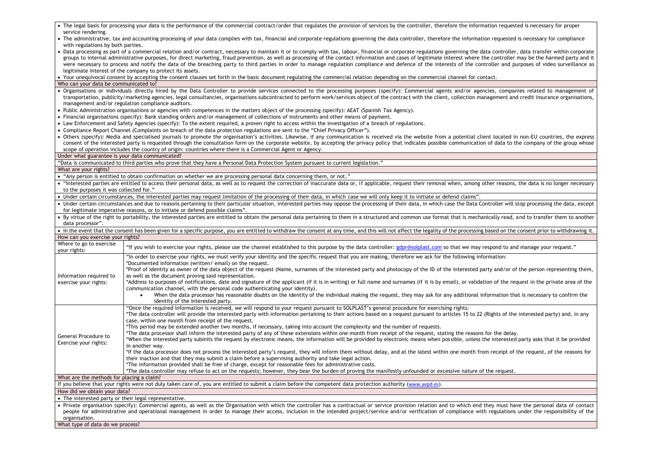|                                                                                                                                                                                                                                              | • The legal basis for processing your data is the performance of the commercial contract/order that regulates the provision of services by the controller, therefore the information requested is necessary for proper                                                                                                                                                                                                                                                                                                                                                                                                                                                           |  |  |  |
|----------------------------------------------------------------------------------------------------------------------------------------------------------------------------------------------------------------------------------------------|----------------------------------------------------------------------------------------------------------------------------------------------------------------------------------------------------------------------------------------------------------------------------------------------------------------------------------------------------------------------------------------------------------------------------------------------------------------------------------------------------------------------------------------------------------------------------------------------------------------------------------------------------------------------------------|--|--|--|
| service rendering.<br>• The administrative, tax and accounting processing of your data complies with tax, financial and corporate regulations governing the data controller, therefore the information requested is necessary for compliance |                                                                                                                                                                                                                                                                                                                                                                                                                                                                                                                                                                                                                                                                                  |  |  |  |
|                                                                                                                                                                                                                                              |                                                                                                                                                                                                                                                                                                                                                                                                                                                                                                                                                                                                                                                                                  |  |  |  |
| with regulations by both parties.                                                                                                                                                                                                            | • Data processing as part of a commercial relation and/or contract, necessary to maintain it or to comply with tax, labour, financial or corporate regulations governing the data controller, data transfer within corporate<br>groups to internal administrative purposes, for direct marketing, fraud prevention, as well as processing of the contact information and cases of legitimate interest where the controller may be the harmed party and it<br>were necessary to process and notify the data of the breaching party to third parties in order to manage regulation compliance and defence of the interests of the controller and purposes of video surveillance as |  |  |  |
|                                                                                                                                                                                                                                              | legitimate interest of the company to protect its assets.                                                                                                                                                                                                                                                                                                                                                                                                                                                                                                                                                                                                                        |  |  |  |
|                                                                                                                                                                                                                                              | • Your unequivocal consent by accepting the consent clauses set forth in the basic document regulating the commercial relation depending on the commercial channel for contact.                                                                                                                                                                                                                                                                                                                                                                                                                                                                                                  |  |  |  |
| Who can your data be communicated to?                                                                                                                                                                                                        |                                                                                                                                                                                                                                                                                                                                                                                                                                                                                                                                                                                                                                                                                  |  |  |  |
|                                                                                                                                                                                                                                              | • Organisations or individuals directly hired by the Data Controller to provide services connected to the processing purposes (specify): Commercial agents and/or agencies, companies related to management of                                                                                                                                                                                                                                                                                                                                                                                                                                                                   |  |  |  |
|                                                                                                                                                                                                                                              | transportation, publicity/marketing agencies, legal consultancies, organisations subcontracted to perform work/services object of the contract with the client, collection management and credit insurance organisations,<br>management and/or regulation compliance auditors.                                                                                                                                                                                                                                                                                                                                                                                                   |  |  |  |
|                                                                                                                                                                                                                                              | • Public Administration organisations or agencies with competences in the matters object of the processing (specify): AEAT (Spanish Tax Agency).                                                                                                                                                                                                                                                                                                                                                                                                                                                                                                                                 |  |  |  |
|                                                                                                                                                                                                                                              | • Financial organisations (specify): Bank standing orders and/or management of collections of instruments and other means of payment.                                                                                                                                                                                                                                                                                                                                                                                                                                                                                                                                            |  |  |  |
|                                                                                                                                                                                                                                              | • Law Enforcement and Safety Agencies (specify): To the extent required, a proven right to access within the investigation of a breach of regulations.                                                                                                                                                                                                                                                                                                                                                                                                                                                                                                                           |  |  |  |
|                                                                                                                                                                                                                                              | • Compliance Report Channel (Complaints on breach of the data protection regulations are sent to the "Chief Privacy Officer").                                                                                                                                                                                                                                                                                                                                                                                                                                                                                                                                                   |  |  |  |
|                                                                                                                                                                                                                                              | • Others (specify): Media and specialised journals to promote the organisation's activities. Likewise, if any communication is received via the website from a potential client located in non-EU countries, the express<br>consent of the interested party is requested through the consultation form on the corporate website, by accepting the privacy policy that indicates possible communication of data to the company of the group whose<br>scope of operation includes the country of origin: countries where there is a Commercial Agent or Agency.                                                                                                                    |  |  |  |
| Under what guarantee is your data communicated?                                                                                                                                                                                              |                                                                                                                                                                                                                                                                                                                                                                                                                                                                                                                                                                                                                                                                                  |  |  |  |
|                                                                                                                                                                                                                                              | "Data is communicated to third parties who prove that they have a Personal Data Protection System pursuant to current legislation."                                                                                                                                                                                                                                                                                                                                                                                                                                                                                                                                              |  |  |  |
| What are your rights?                                                                                                                                                                                                                        |                                                                                                                                                                                                                                                                                                                                                                                                                                                                                                                                                                                                                                                                                  |  |  |  |
|                                                                                                                                                                                                                                              | • "Any person is entitled to obtain confirmation on whether we are processing personal data concerning them, or not."                                                                                                                                                                                                                                                                                                                                                                                                                                                                                                                                                            |  |  |  |
| to the purposes it was collected for."                                                                                                                                                                                                       | • "Interested parties are entitled to access their personal data, as well as to request the correction of inaccurate data or, if applicable, request their removal when, among other reasons, the data is no longer necessary                                                                                                                                                                                                                                                                                                                                                                                                                                                    |  |  |  |
|                                                                                                                                                                                                                                              | • Under certain circumstances, the interested parties may request limitation of the processing of their data, in which case we will only keep it to initiate or defend claims".                                                                                                                                                                                                                                                                                                                                                                                                                                                                                                  |  |  |  |
|                                                                                                                                                                                                                                              | • Under certain circumstances and due to reasons pertaining to their particular situation, interested parties may oppose the processing of their data, in which case the Data Controller will stop processing the data, except                                                                                                                                                                                                                                                                                                                                                                                                                                                   |  |  |  |
|                                                                                                                                                                                                                                              | for legitimate imperative reasons, or to initiate or defend possible claims".                                                                                                                                                                                                                                                                                                                                                                                                                                                                                                                                                                                                    |  |  |  |
| data processor".                                                                                                                                                                                                                             | • By virtue of the right to portability, the interested parties are entitled to obtain the personal data pertaining to them in a structured and common use format that is mechanically read, and to transfer them to another                                                                                                                                                                                                                                                                                                                                                                                                                                                     |  |  |  |
|                                                                                                                                                                                                                                              |                                                                                                                                                                                                                                                                                                                                                                                                                                                                                                                                                                                                                                                                                  |  |  |  |
|                                                                                                                                                                                                                                              | • In the event that the consent has been given for a specific purpose, you are entitled to withdraw the consent at any time, and this will not affect the legality of the processing based on the consent prior to withdrawing                                                                                                                                                                                                                                                                                                                                                                                                                                                   |  |  |  |
| How can you exercise your rights?                                                                                                                                                                                                            |                                                                                                                                                                                                                                                                                                                                                                                                                                                                                                                                                                                                                                                                                  |  |  |  |
| Where to go to exercise                                                                                                                                                                                                                      |                                                                                                                                                                                                                                                                                                                                                                                                                                                                                                                                                                                                                                                                                  |  |  |  |
| your rights:                                                                                                                                                                                                                                 | "If you wish to exercise your rights, please use the channel established to this purpose by the data controller: gdpr@solplast.com so that we may respond to and manage your request."                                                                                                                                                                                                                                                                                                                                                                                                                                                                                           |  |  |  |
|                                                                                                                                                                                                                                              | "In order to exercise your rights, we must verify your identity and the specific request that you are making, therefore we ask for the following information:<br>*Documented information (written/email) on the request.                                                                                                                                                                                                                                                                                                                                                                                                                                                         |  |  |  |
| Information required to                                                                                                                                                                                                                      | *Proof of identity as owner of the data object of the request (Name, surnames of the interested party and photocopy of the ID of the interested party and/or of the person representing them,<br>as well as the document proving said representation.                                                                                                                                                                                                                                                                                                                                                                                                                            |  |  |  |
| exercise your rights:                                                                                                                                                                                                                        | *Address to purposes of notifications, date and signature of the applicant (if it is in writing) or full name and surnames (if it is by email), or validation of the request in the private area of the<br>communication channel, with the personal code authenticating your identity).                                                                                                                                                                                                                                                                                                                                                                                          |  |  |  |
|                                                                                                                                                                                                                                              | When the data processor has reasonable doubts on the identity of the individual making the request, they may ask for any additional information that is necessary to confirm the<br>$\bullet$<br>identity of the interested party.                                                                                                                                                                                                                                                                                                                                                                                                                                               |  |  |  |
|                                                                                                                                                                                                                                              | "Once the required information is received, we will respond to your request pursuant to SOLPLAST's general procedure for exercising rights:                                                                                                                                                                                                                                                                                                                                                                                                                                                                                                                                      |  |  |  |
|                                                                                                                                                                                                                                              | *The data controller will provide the interested party with information pertaining to their actions based on a request pursuant to articles 15 to 22 (Rights of the interested party) and, in any<br>case, within one month from receipt of the request.                                                                                                                                                                                                                                                                                                                                                                                                                         |  |  |  |
|                                                                                                                                                                                                                                              | *This period may be extended another two months, if necessary, taking into account the complexity and the number of requests.                                                                                                                                                                                                                                                                                                                                                                                                                                                                                                                                                    |  |  |  |
|                                                                                                                                                                                                                                              | *The data processor shall inform the interested party of any of these extensions within one month from receipt of the request, stating the reasons for the delay.                                                                                                                                                                                                                                                                                                                                                                                                                                                                                                                |  |  |  |
| General Procedure to                                                                                                                                                                                                                         | "When the interested party submits the request by electronic means, the information will be provided by electronic means when possible, unless the interested party asks that it be provided                                                                                                                                                                                                                                                                                                                                                                                                                                                                                     |  |  |  |
| Exercise your rights:                                                                                                                                                                                                                        | in another way.                                                                                                                                                                                                                                                                                                                                                                                                                                                                                                                                                                                                                                                                  |  |  |  |
|                                                                                                                                                                                                                                              | *If the data processor does not process the interested party's request, they will inform them without delay, and at the latest within one month from receipt of the request, of the reasons for                                                                                                                                                                                                                                                                                                                                                                                                                                                                                  |  |  |  |
|                                                                                                                                                                                                                                              | their inaction and that they may submit a claim before a supervising authority and take legal action.                                                                                                                                                                                                                                                                                                                                                                                                                                                                                                                                                                            |  |  |  |
|                                                                                                                                                                                                                                              | *The information provided shall be free of charge, except for reasonable fees for administrative costs.                                                                                                                                                                                                                                                                                                                                                                                                                                                                                                                                                                          |  |  |  |
| What are the methods for placing a claim?                                                                                                                                                                                                    | *The data controller may refuse to act on the requests; however, they bear the burden of proving the manifestly unfounded or excessive nature of the request.                                                                                                                                                                                                                                                                                                                                                                                                                                                                                                                    |  |  |  |
|                                                                                                                                                                                                                                              | If you believe that your rights were not duly taken care of, you are entitled to submit a claim before the competent data protection authority (www.aepd.es).                                                                                                                                                                                                                                                                                                                                                                                                                                                                                                                    |  |  |  |
| How did we obtain your data?                                                                                                                                                                                                                 |                                                                                                                                                                                                                                                                                                                                                                                                                                                                                                                                                                                                                                                                                  |  |  |  |
| • The interested party or their legal representative.                                                                                                                                                                                        |                                                                                                                                                                                                                                                                                                                                                                                                                                                                                                                                                                                                                                                                                  |  |  |  |
|                                                                                                                                                                                                                                              | • Private organisation (specify): Commercial agents, as well as the Organisation with which the controller has a contractual or service provision relation and to which end they must have the personal data of contact<br>people for administrative and operational management in order to manage their access, inclusion in the intended project/service and/or verification of compliance with regulations under the responsibility of the                                                                                                                                                                                                                                    |  |  |  |
| organisation.<br>What type of data do we process?                                                                                                                                                                                            |                                                                                                                                                                                                                                                                                                                                                                                                                                                                                                                                                                                                                                                                                  |  |  |  |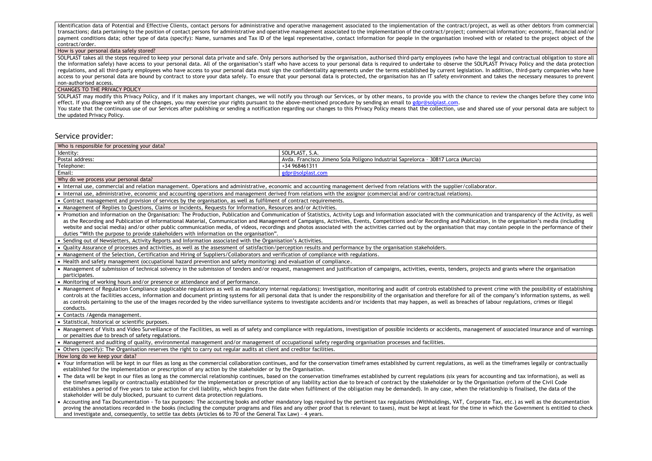Identification data of Potential and Effective Clients, contact persons for administrative and operative management associated to the implementation of the contract/project, as well as other debtors from commercial transactions; data pertaining to the position of contact persons for administrative and operative management associated to the implementation of the contract/project; commercial information; economic, financial and/or payment conditions data; other type of data (specify): Name, surnames and Tax ID of the legal representative, contact information for people in the organisation involved with or related to the project object of the contract/order.

#### How is your personal data safely stored?

SOLPLAST takes all the steps required to keep your personal data private and safe. Only persons authorised by the organisation, authorised third-party employees (who have the legal and contractual obligation to store all the information safely) have access to your personal data. All of the organisation's staff who have access to your personal data is required to undertake to observe the SOLPLAST Privacy Policy and the data protection regulations, and all third-party employees who have access to your personal data must sign the confidentiality agreements under the terms established by current legislation. In addition, third-party companies who have access to your personal data are bound by contract to store your data safely. To ensure that your personal data is protected, the organisation has an IT safety environment and takes the necessary measures to prevent non-authorised access.

#### CHANGES TO THE PRIVACY POLICY

SOLPLAST may modify this Privacy Policy, and if it makes any important changes, we will notify you through our Services, or by other means, to provide you with the chance to review the changes before they come into effect. If you disagree with any of the changes, you may exercise your rights pursuant to the above-mentioned procedure by sending an email to [gdpr@solplast.com.](mailto:gdpr@solplast.com) You state that the continuous use of our Services after publishing or sending a notification regarding our changes to this Privacy Policy means that the collection, use and shared use of your personal data are subject to

the updated Privacy Policy.

### Service provider:

| Who is responsible for processing your data?                                                                                                                                 |                                                                                                                                                                                                                                                                                                                                                                                                                                                                                                                                                                                                                                                                                  |
|------------------------------------------------------------------------------------------------------------------------------------------------------------------------------|----------------------------------------------------------------------------------------------------------------------------------------------------------------------------------------------------------------------------------------------------------------------------------------------------------------------------------------------------------------------------------------------------------------------------------------------------------------------------------------------------------------------------------------------------------------------------------------------------------------------------------------------------------------------------------|
| Identity:                                                                                                                                                                    | SOLPLAST, S.A.                                                                                                                                                                                                                                                                                                                                                                                                                                                                                                                                                                                                                                                                   |
| Postal address:                                                                                                                                                              | Avda. Francisco Jimeno Sola Polígono Industrial Saprelorca - 30817 Lorca (Murcia)                                                                                                                                                                                                                                                                                                                                                                                                                                                                                                                                                                                                |
| Telephone:                                                                                                                                                                   | +34 968461311                                                                                                                                                                                                                                                                                                                                                                                                                                                                                                                                                                                                                                                                    |
| Email:                                                                                                                                                                       | gdpr@solplast.com                                                                                                                                                                                                                                                                                                                                                                                                                                                                                                                                                                                                                                                                |
| Why do we process your personal data?                                                                                                                                        |                                                                                                                                                                                                                                                                                                                                                                                                                                                                                                                                                                                                                                                                                  |
| • Internal use, commercial and relation management. Operations and administrative, economic and accounting management derived from relations with the supplier/collaborator. |                                                                                                                                                                                                                                                                                                                                                                                                                                                                                                                                                                                                                                                                                  |
| • Internal use, administrative, economic and accounting operations and management derived from relations with the assignor (commercial and/or contractual relations).        |                                                                                                                                                                                                                                                                                                                                                                                                                                                                                                                                                                                                                                                                                  |
| • Contract management and provision of services by the organisation, as well as fulfilment of contract requirements.                                                         |                                                                                                                                                                                                                                                                                                                                                                                                                                                                                                                                                                                                                                                                                  |
| • Management of Replies to Questions, Claims or Incidents, Requests for Information, Resources and/or Activities.                                                            |                                                                                                                                                                                                                                                                                                                                                                                                                                                                                                                                                                                                                                                                                  |
| duties "With the purpose to provide stakeholders with information on the organisation".                                                                                      | • Promotion and Information on the Organisation: The Production, Publication and Communication of Statistics, Activity Logs and Information associated with the communication and transparency of the Activity, as well<br>as the Recording and Publication of Informational Material, Communication and Management of Campaigns, Activities, Events, Competitions and/or Recording and Publication, in the organisation's media (including<br>website and social media) and/or other public communication media, of videos, recordings and photos associated with the activities carried out by the organisation that may contain people in the performance of their            |
| • Sending out of Newsletters, Activity Reports and Information associated with the Organisation's Activities.                                                                |                                                                                                                                                                                                                                                                                                                                                                                                                                                                                                                                                                                                                                                                                  |
| . Quality Assurance of processes and activities, as well as the assessment of satisfaction/perception results and performance by the organisation stakeholders.              |                                                                                                                                                                                                                                                                                                                                                                                                                                                                                                                                                                                                                                                                                  |
| • Management of the Selection, Certification and Hiring of Suppliers/Collaborators and verification of compliance with regulations.                                          |                                                                                                                                                                                                                                                                                                                                                                                                                                                                                                                                                                                                                                                                                  |
| • Health and safety management (occupational hazard prevention and safety monitoring) and evaluation of compliance.                                                          |                                                                                                                                                                                                                                                                                                                                                                                                                                                                                                                                                                                                                                                                                  |
| participates.                                                                                                                                                                | • Management of submission of technical solvency in the submission of tenders and/or request, management and justification of campaigns, activities, events, tenders, projects and grants where the organisation                                                                                                                                                                                                                                                                                                                                                                                                                                                                 |
| • Monitoring of working hours and/or presence or attendance and of performance.                                                                                              |                                                                                                                                                                                                                                                                                                                                                                                                                                                                                                                                                                                                                                                                                  |
| conducts.                                                                                                                                                                    | • Management of Regulation Compliance (applicable regulations as well as mandatory internal regulations): Investigation, monitoring and audit of controls established to prevent crime with the possibility of establishing<br>controls at the facilities access, information and document printing systems for all personal data that is under the responsibility of the organisation and therefore for all of the company's information systems, as well<br>as controls pertaining to the use of the images recorded by the video surveillance systems to investigate accidents and/or incidents that may happen, as well as breaches of labour regulations, crimes or illegal |
| • Contacts / Agenda management.                                                                                                                                              |                                                                                                                                                                                                                                                                                                                                                                                                                                                                                                                                                                                                                                                                                  |
| • Statistical, historical or scientific purposes.                                                                                                                            |                                                                                                                                                                                                                                                                                                                                                                                                                                                                                                                                                                                                                                                                                  |
| or penalties due to breach of safety regulations.                                                                                                                            | • Management of Visits and Video Surveillance of the Facilities, as well as of safety and compliance with regulations, investigation of possible incidents or accidents, management of associated insurance and of warnings                                                                                                                                                                                                                                                                                                                                                                                                                                                      |
| • Management and auditing of quality, environmental management and/or management of occupational safety regarding organisation processes and facilities.                     |                                                                                                                                                                                                                                                                                                                                                                                                                                                                                                                                                                                                                                                                                  |
| • Others (specify): The Organisation reserves the right to carry out regular audits at client and creditor facilities.                                                       |                                                                                                                                                                                                                                                                                                                                                                                                                                                                                                                                                                                                                                                                                  |
| How long do we keep your data?                                                                                                                                               |                                                                                                                                                                                                                                                                                                                                                                                                                                                                                                                                                                                                                                                                                  |
| established for the implementation or prescription of any action by the stakeholder or by the Organisation.                                                                  | • Your information will be kept in our files as long as the commercial collaboration continues, and for the conservation timeframes established by current regulations, as well as the timeframes legally or contractually<br>• The data will be kept in our files as long as the commercial relationship continues, based on the conservation timeframes established by current regulations (six years for accounting and tax information), as well as                                                                                                                                                                                                                          |
| stakeholder will be duly blocked, pursuant to current data protection regulations.                                                                                           | the timeframes legally or contractually established for the implementation or prescription of any liability action due to breach of contract by the stakeholder or by the Organisation (reform of the Civil Code<br>establishes a period of five years to take action for civil liability, which begins from the date when fulfilment of the obligation may be demanded). In any case, when the relationship is finalised, the data of the                                                                                                                                                                                                                                       |
| and investigate and, consequently, to settle tax debts (Articles 66 to 70 of the General Tax Law) - 4 years.                                                                 | • Accounting and Tax Documentation - To tax purposes: The accounting books and other mandatory logs required by the pertinent tax regulations (Withholdings, VAT, Corporate Tax, etc.) as well as the documentation<br>proving the annotations recorded in the books (including the computer programs and files and any other proof that is relevant to taxes), must be kept at least for the time in which the Government is entitled to check                                                                                                                                                                                                                                  |
|                                                                                                                                                                              |                                                                                                                                                                                                                                                                                                                                                                                                                                                                                                                                                                                                                                                                                  |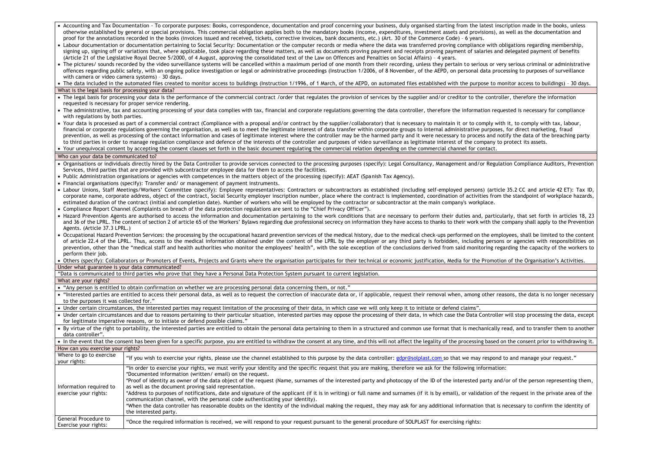|                                                                                                                                                                                                                          | Accounting and Tax Documentation - To corporate purposes: Books, correspondence, documentation and proof concerning your business, duly organised starting from the latest inscription made in the books, unless<br>otherwise established by general or special provisions. This commercial obligation applies both to the mandatory books (income, expenditures, investment assets and provisions), as well as the documentation and         |  |  |  |
|--------------------------------------------------------------------------------------------------------------------------------------------------------------------------------------------------------------------------|-----------------------------------------------------------------------------------------------------------------------------------------------------------------------------------------------------------------------------------------------------------------------------------------------------------------------------------------------------------------------------------------------------------------------------------------------|--|--|--|
| proof for the annotations recorded in the books (invoices issued and received, tickets, corrective invoices, bank documents, etc.) (Art. 30 of the Commerce Code) - 6 years.                                             |                                                                                                                                                                                                                                                                                                                                                                                                                                               |  |  |  |
| • Labour documentation or documentation pertaining to Social Security: Documentation or the computer records or media where the data was transferred proving compliance with obligations regarding membership,           |                                                                                                                                                                                                                                                                                                                                                                                                                                               |  |  |  |
| signing up, signing off or variations that, where applicable, took place regarding these matters, as well as documents proving payment and receipts proving payment of salaries and delegated payment of benefits        |                                                                                                                                                                                                                                                                                                                                                                                                                                               |  |  |  |
| (Article 21 of the Legislative Royal Decree 5/2000, of 4 August, approving the consolidated text of the Law on Offences and Penalties on Social Affairs) - 4 years.                                                      |                                                                                                                                                                                                                                                                                                                                                                                                                                               |  |  |  |
| • The pictures/ sounds recorded by the video surveillance systems will be cancelled within a maximum period of one month from their recording, unless they pertain to serious or very serious criminal or administrative |                                                                                                                                                                                                                                                                                                                                                                                                                                               |  |  |  |
|                                                                                                                                                                                                                          | offences regarding public safety, with an ongoing police investigation or legal or administrative proceedings (Instruction 1/2006, of 8 November, of the AEPD, on personal data processing to purposes of surveillance                                                                                                                                                                                                                        |  |  |  |
| with camera or video camera systems) - 30 days.                                                                                                                                                                          |                                                                                                                                                                                                                                                                                                                                                                                                                                               |  |  |  |
|                                                                                                                                                                                                                          | • The data included in the automated files created to monitor access to buildings (Instruction 1/1996, of 1 March, of the AEPD, on automated files established with the purpose to monitor access to buildings) - 30 days.                                                                                                                                                                                                                    |  |  |  |
| What is the legal basis for processing your data?                                                                                                                                                                        |                                                                                                                                                                                                                                                                                                                                                                                                                                               |  |  |  |
|                                                                                                                                                                                                                          | • The legal basis for processing your data is the performance of the commercial contract /order that regulates the provision of services by the supplier and/or creditor to the controller, therefore the information                                                                                                                                                                                                                         |  |  |  |
| requested is necessary for proper service rendering.                                                                                                                                                                     | • The administrative, tax and accounting processing of your data complies with tax, financial and corporate regulations governing the data controller, therefore the information requested is necessary for compliance                                                                                                                                                                                                                        |  |  |  |
| with regulations by both parties.                                                                                                                                                                                        |                                                                                                                                                                                                                                                                                                                                                                                                                                               |  |  |  |
|                                                                                                                                                                                                                          |                                                                                                                                                                                                                                                                                                                                                                                                                                               |  |  |  |
|                                                                                                                                                                                                                          | • Your data is processed as part of a commercial contract (Compliance with a proposal and/or contract by the supplier/collaborator) that is necessary to maintain it or to comply with it, to comply with tax, labour,                                                                                                                                                                                                                        |  |  |  |
|                                                                                                                                                                                                                          | financial or corporate regulations governing the organisation, as well as to meet the legitimate interest of data transfer within corporate groups to internal administrative purposes, for direct marketing, fraud<br>prevention, as well as processing of the contact information and cases of legitimate interest where the controller may be the harmed party and it were necessary to process and notify the data of the breaching party |  |  |  |
|                                                                                                                                                                                                                          | to third parties in order to manage regulation compliance and defence of the interests of the controller and purposes of video surveillance as legitimate interest of the company to protect its assets.                                                                                                                                                                                                                                      |  |  |  |
|                                                                                                                                                                                                                          | • Your unequivocal consent by accepting the consent clauses set forth in the basic document regulating the commercial relation depending on the commercial channel for contact.                                                                                                                                                                                                                                                               |  |  |  |
|                                                                                                                                                                                                                          |                                                                                                                                                                                                                                                                                                                                                                                                                                               |  |  |  |
| Who can your data be communicated to?                                                                                                                                                                                    |                                                                                                                                                                                                                                                                                                                                                                                                                                               |  |  |  |
|                                                                                                                                                                                                                          | • Organisations or individuals directly hired by the Data Controller to provide services connected to the processing purposes (specify): Legal Consultancy, Management and/or Regulation Compliance Auditors, Prevention                                                                                                                                                                                                                      |  |  |  |
|                                                                                                                                                                                                                          | Services, third parties that are provided with subcontractor employee data for them to access the facilities.                                                                                                                                                                                                                                                                                                                                 |  |  |  |
|                                                                                                                                                                                                                          | • Public Administration organisations or agencies with competences in the matters object of the processing (specify): AEAT (Spanish Tax Agency).                                                                                                                                                                                                                                                                                              |  |  |  |
|                                                                                                                                                                                                                          | • Financial organisations (specify): Transfer and/ or management of payment instruments.                                                                                                                                                                                                                                                                                                                                                      |  |  |  |
|                                                                                                                                                                                                                          | . Labour Unions, Staff Meetings/Workers' Committee (specify): Employee representatives: Contractors or subcontractors as established (including self-employed persons) (article 35.2 CC and article 42 ET): Tax ID,                                                                                                                                                                                                                           |  |  |  |
|                                                                                                                                                                                                                          | corporate name, corporate address, object of the contract, Social Security employer inscription number, place where the contract is implemented, coordination of activities from the standpoint of workplace hazards,                                                                                                                                                                                                                         |  |  |  |
|                                                                                                                                                                                                                          | estimated duration of the contract (initial and completion date). Number of workers who will be employed by the contractor or subcontractor at the main company's workplace.                                                                                                                                                                                                                                                                  |  |  |  |
|                                                                                                                                                                                                                          | • Compliance Report Channel (Complaints on breach of the data protection regulations are sent to the "Chief Privacy Officer").                                                                                                                                                                                                                                                                                                                |  |  |  |
|                                                                                                                                                                                                                          | • Hazard Prevention Agents are authorised to access the information and documentation pertaining to the work conditions that are necessary to perform their duties and, particularly, that set forth in articles 18, 23                                                                                                                                                                                                                       |  |  |  |
|                                                                                                                                                                                                                          | and 36 of the LPRL. The content of section 2 of article 65 of the Workers' Bylaws regarding due professional secrecy on information they have access to thanks to their work with the company shall apply to the Prevention                                                                                                                                                                                                                   |  |  |  |
| Agents. (Article 37.3 LPRL.)                                                                                                                                                                                             |                                                                                                                                                                                                                                                                                                                                                                                                                                               |  |  |  |
|                                                                                                                                                                                                                          | • Occupational Hazard Prevention Services: the processing by the occupational hazard prevention services of the medical history, due to the medical check-ups performed on the employees, shall be limited to the content                                                                                                                                                                                                                     |  |  |  |
|                                                                                                                                                                                                                          | of article 22.4 of the LPRL. Thus, access to the medical information obtained under the content of the LPRL by the employer or any third party is forbidden, including persons or agencies with responsibilities on                                                                                                                                                                                                                           |  |  |  |
|                                                                                                                                                                                                                          | prevention, other than the "medical staff and health authorities who monitor the employees' health", with the sole exception of the conclusions derived from said monitoring regarding the capacity of the workers to                                                                                                                                                                                                                         |  |  |  |
| perform their job.                                                                                                                                                                                                       |                                                                                                                                                                                                                                                                                                                                                                                                                                               |  |  |  |
|                                                                                                                                                                                                                          | · Others (specify): Collaborators or Promoters of Events, Projects and Grants where the organisation participates for their technical or economic justification, Media for the Promotion of the Organisation's Activities.                                                                                                                                                                                                                    |  |  |  |
| Under what guarantee is your data communicated?                                                                                                                                                                          |                                                                                                                                                                                                                                                                                                                                                                                                                                               |  |  |  |
|                                                                                                                                                                                                                          | "Data is communicated to third parties who prove that they have a Personal Data Protection System pursuant to current legislation.                                                                                                                                                                                                                                                                                                            |  |  |  |
| What are your rights?                                                                                                                                                                                                    |                                                                                                                                                                                                                                                                                                                                                                                                                                               |  |  |  |
|                                                                                                                                                                                                                          | • "Any person is entitled to obtain confirmation on whether we are processing personal data concerning them, or not."                                                                                                                                                                                                                                                                                                                         |  |  |  |
|                                                                                                                                                                                                                          | • "Interested parties are entitled to access their personal data, as well as to request the correction of inaccurate data or, if applicable, request their removal when, among other reasons, the data is no longer necessary                                                                                                                                                                                                                 |  |  |  |
| to the purposes it was collected for."                                                                                                                                                                                   |                                                                                                                                                                                                                                                                                                                                                                                                                                               |  |  |  |
|                                                                                                                                                                                                                          | • Under certain circumstances, the interested parties may request limitation of the processing of their data, in which case we will only keep it to initiate or defend claims".                                                                                                                                                                                                                                                               |  |  |  |
|                                                                                                                                                                                                                          |                                                                                                                                                                                                                                                                                                                                                                                                                                               |  |  |  |
|                                                                                                                                                                                                                          | • Under certain circumstances and due to reasons pertaining to their particular situation, interested parties may oppose the processing of their data, in which case the Data Controller will stop processing the data, except<br>for legitimate imperative reasons, or to initiate or defend possible claims."                                                                                                                               |  |  |  |
|                                                                                                                                                                                                                          |                                                                                                                                                                                                                                                                                                                                                                                                                                               |  |  |  |
|                                                                                                                                                                                                                          | • By virtue of the right to portability, the interested parties are entitled to obtain the personal data pertaining to them in a structured and common use format that is mechanically read, and to transfer them to another                                                                                                                                                                                                                  |  |  |  |
| data controller".                                                                                                                                                                                                        |                                                                                                                                                                                                                                                                                                                                                                                                                                               |  |  |  |
|                                                                                                                                                                                                                          | • In the event that the consent has been given for a specific purpose, you are entitled to withdraw the consent at any time, and this will not affect the legality of the processing based on the consent prior to withdrawing                                                                                                                                                                                                                |  |  |  |
| How can you exercise your rights?                                                                                                                                                                                        |                                                                                                                                                                                                                                                                                                                                                                                                                                               |  |  |  |
| Where to go to exercise                                                                                                                                                                                                  | "If you wish to exercise your rights, please use the channel established to this purpose by the data controller: gdpr@solplast.com so that we may respond to and manage your request."                                                                                                                                                                                                                                                        |  |  |  |
| vour rights:                                                                                                                                                                                                             |                                                                                                                                                                                                                                                                                                                                                                                                                                               |  |  |  |
|                                                                                                                                                                                                                          | "In order to exercise your rights, we must verify your identity and the specific request that you are making, therefore we ask for the following information:                                                                                                                                                                                                                                                                                 |  |  |  |
|                                                                                                                                                                                                                          | *Documented information (written/email) on the request.                                                                                                                                                                                                                                                                                                                                                                                       |  |  |  |
|                                                                                                                                                                                                                          | *Proof of identity as owner of the data object of the request (Name, surnames of the interested party and photocopy of the ID of the interested party and/or of the person representing them,                                                                                                                                                                                                                                                 |  |  |  |
| Information required to                                                                                                                                                                                                  | as well as the document proving said representation.                                                                                                                                                                                                                                                                                                                                                                                          |  |  |  |
| exercise your rights:                                                                                                                                                                                                    | *Address to purposes of notifications, date and signature of the applicant (if it is in writing) or full name and surnames (if it is by email), or validation of the request in the private area of the                                                                                                                                                                                                                                       |  |  |  |
|                                                                                                                                                                                                                          | communication channel, with the personal code authenticating your identity).                                                                                                                                                                                                                                                                                                                                                                  |  |  |  |
| *When the data controller has reasonable doubts on the identity of the individual making the request, they may ask for any additional information that is necessary to confirm the identity of                           |                                                                                                                                                                                                                                                                                                                                                                                                                                               |  |  |  |
|                                                                                                                                                                                                                          | the interested party.                                                                                                                                                                                                                                                                                                                                                                                                                         |  |  |  |
| General Procedure to<br>Exercise your rights:                                                                                                                                                                            | "Once the required information is received, we will respond to your request pursuant to the general procedure of SOLPLAST for exercising rights:                                                                                                                                                                                                                                                                                              |  |  |  |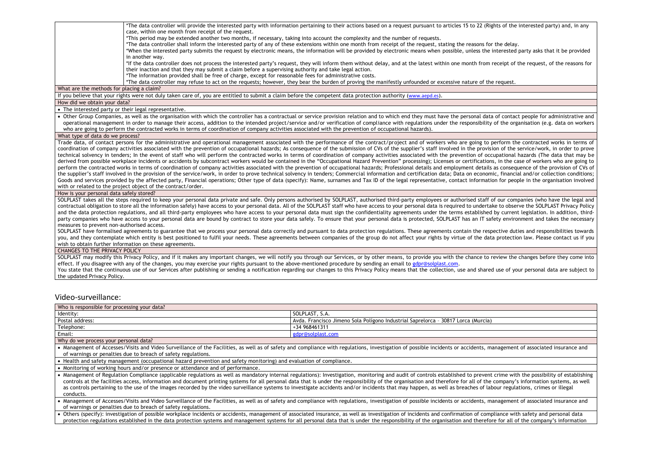\*The data controller will provide the interested party with information pertaining to their actions based on a request pursuant to articles 15 to 22 (Rights of the interested party) and, in any case, within one month from receipt of the request.

\*This period may be extended another two months, if necessary, taking into account the complexity and the number of requests.

\*The data controller shall inform the interested party of any of these extensions within one month from receipt of the request, stating the reasons for the delay.

\*When the interested party submits the request by electronic means, the information will be provided by electronic means when possible, unless the interested party asks that it be provided in another way.

\*If the data controller does not process the interested party's request, they will inform them without delay, and at the latest within one month from receipt of the request, of the reasons for their inaction and that they may submit a claim before a supervising authority and take legal action.

\*The information provided shall be free of charge, except for reasonable fees for administrative costs.

\*The data controller may refuse to act on the requests; however, they bear the burden of proving the manifestly unfounded or excessive nature of the request.

What are the methods for placing a claim?

If you believe that your rights were not duly taken care of, you are entitled to submit a claim before the competent data protection authority ([www.aepd.es](http://www.aepd.es/)).

How did we obtain your data?

• The interested party or their legal representative.

• Other Group Companies, as well as the organisation with which the controller has a contractual or service provision relation and to which end they must have the personal data of contact people for administrative and operational management in order to manage their access, addition to the intended project/service and/or verification of compliance with regulations under the responsibility of the organisation (e.g. data on workers who are going to perform the contracted works in terms of coordination of company activities associated with the prevention of occupational hazards).

#### What type of data do we process?

Trade data, of contact persons for the administrative and operational management associated with the performance of the contract/project and of workers who are going to perform the contracted works in terms of coordination of company activities associated with the prevention of occupational hazards; As consequence of the submission of CVs of the supplier's staff involved in the provision of the service/work, in order to prove technical solvency in tenders; In the event of staff who will perform the contracted works in terms of coordination of company activities associated with the prevention of occupational hazards (The data that may be derived from possible workplace incidents or accidents by subcontract workers would be contained in the "Occupational Hazard Prevention" processing); Licenses or certifications, in the case of workers who are going to perform the contracted works in terms of coordination of company activities associated with the prevention of occupational hazards; Professional details and employment details as consequence of the provision of CVs of the supplier's staff involved in the provision of the service/work, in order to prove technical solvency in tenders; Commercial information and certification data; Data on economic, financial and/or collection conditions; Goods and services provided by the affected party, Financial operations; Other type of data (specify); Name, surnames and Tax ID of the legal representative, contact information for people in the organisation involved with or related to the project object of the contract/order.

How is your personal data safely stored?

SOLPLAST takes all the steps required to keep your personal data private and safe. Only persons authorised by SOLPLAST, authorised third-party employees or authorised staff of our companies (who have the legal and contractual obligation to store all the information safely) have access to your personal data. All of the SOLPLAST staff who have access to your personal data is required to undertake to observe the SOLPLAST Privacy Policy and the data protection regulations, and all third-party employees who have access to your personal data must sign the confidentiality agreements under the terms established by current legislation. In addition, thirdparty companies who have access to your personal data are bound by contract to store your data safely. To ensure that your personal data is protected, SOLPLAST has an IT safety environment and takes the necessary measures to prevent non-authorised access.

SOLPLAST have formalised agreements to guarantee that we process your personal data correctly and pursuant to data protection regulations. These agreements contain the respective duties and responsibilities towards you, and they contemplate which entity is best positioned to fulfil your needs. These agreements between companies of the group do not affect your rights by virtue of the data protection law. Please contact us if you wish to obtain further information on these agreements.

#### CHANGES TO THE PRIVACY POLICY

SOLPLAST may modify this Privacy Policy, and if it makes any important changes, we will notify you through our Services, or by other means, to provide you with the chance to review the changes before they come into effect. If you disagree with any of the changes, you may exercise your rights pursuant to the above-mentioned procedure by sending an email t[o gdpr@solplast.com.](mailto:gdpr@solplast.com)

You state that the continuous use of our Services after publishing or sending a notification regarding our changes to this Privacy Policy means that the collection, use and shared use of your personal data are subject to the updated Privacy Policy.

# Video-surveillance:

| Who is responsible for processing your data? |                                                                                        |
|----------------------------------------------|----------------------------------------------------------------------------------------|
| Identity:                                    | SOLPLAST, S.A.                                                                         |
| Postal address:                              | . Francisco Jimeno Sola Polígono Industrial Saprelorca - 30817 Lorca (Murcia)<br>Avda. |
| Telephone:                                   | +34 968461311                                                                          |
| Email:                                       | gdpr@solplast.com                                                                      |
| $\cdots$                                     |                                                                                        |

Why do we process your personal data?

• Management of Accesses/Visits and Video Surveillance of the Facilities, as well as of safety and compliance with regulations, investigation of possible incidents or accidents, management of associated insurance and of warnings or penalties due to breach of safety regulations.

• Health and safety management (occupational hazard prevention and safety monitoring) and evaluation of compliance.

• Monitoring of working hours and/or presence or attendance and of performance.

• Management of Regulation Compliance (applicable regulations as well as mandatory internal regulations): Investigation, monitoring and audit of controls established to prevent crime with the possibility of establishing controls at the facilities access, information and document printing systems for all personal data that is under the responsibility of the organisation and therefore for all of the company's information systems, as well as controls pertaining to the use of the images recorded by the video surveillance systems to investigate accidents and/or incidents that may happen, as well as breaches of labour regulations, crimes or illegal conducts.

• Management of Accesses/Visits and Video Surveillance of the Facilities, as well as of safety and compliance with regulations, investigation of possible incidents or accidents, management of associated insurance and of warnings or penalties due to breach of safety regulations.

• Others (specify): investigation of possible workplace incidents or accidents, management of associated insurance, as well as investigation of incidents and confirmation of compliance with safety and personal data protection regulations established in the data protection systems and management systems for all personal data that is under the responsibility of the organisation and therefore for all of the company's information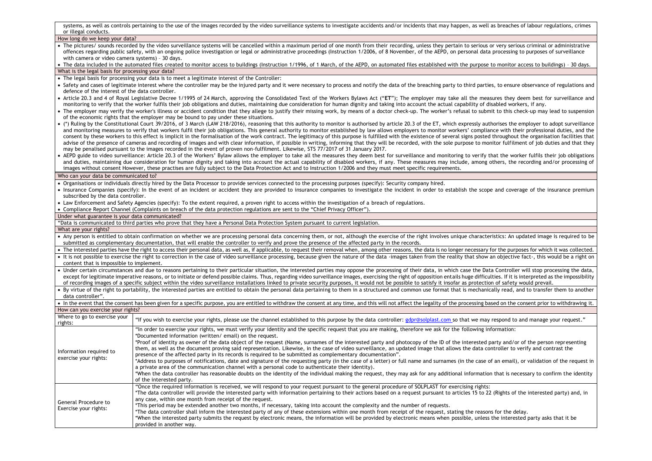systems, as well as controls pertaining to the use of the images recorded by the video surveillance systems to investigate accidents and/or incidents that may happen, as well as breaches of labour regulations, crimes or illegal conducts.

| or megat conducts.                                |                                                                                                                                                                                                                                                                                                                                                                                                                                                                                                                                                                                                                                                                                                                                                                                                                                                                                                                            |
|---------------------------------------------------|----------------------------------------------------------------------------------------------------------------------------------------------------------------------------------------------------------------------------------------------------------------------------------------------------------------------------------------------------------------------------------------------------------------------------------------------------------------------------------------------------------------------------------------------------------------------------------------------------------------------------------------------------------------------------------------------------------------------------------------------------------------------------------------------------------------------------------------------------------------------------------------------------------------------------|
| How long do we keep your data?                    |                                                                                                                                                                                                                                                                                                                                                                                                                                                                                                                                                                                                                                                                                                                                                                                                                                                                                                                            |
|                                                   | • The pictures/ sounds recorded by the video surveillance systems will be cancelled within a maximum period of one month from their recording, unless they pertain to serious or very serious criminal or administrative<br>offences regarding public safety, with an ongoing police investigation or legal or administrative proceedings (Instruction 1/2006, of 8 November, of the AEPD, on personal data processing to purposes of surveillance                                                                                                                                                                                                                                                                                                                                                                                                                                                                         |
| with camera or video camera systems) - 30 days.   |                                                                                                                                                                                                                                                                                                                                                                                                                                                                                                                                                                                                                                                                                                                                                                                                                                                                                                                            |
|                                                   | • The data included in the automated files created to monitor access to buildings (Instruction 1/1996, of 1 March, of the AEPD, on automated files established with the purpose to monitor access to buildings) - 30 days.                                                                                                                                                                                                                                                                                                                                                                                                                                                                                                                                                                                                                                                                                                 |
| What is the legal basis for processing your data? |                                                                                                                                                                                                                                                                                                                                                                                                                                                                                                                                                                                                                                                                                                                                                                                                                                                                                                                            |
|                                                   | • The legal basis for processing your data is to meet a legitimate interest of the Controller:                                                                                                                                                                                                                                                                                                                                                                                                                                                                                                                                                                                                                                                                                                                                                                                                                             |
| defence of the interest of the data controller.   | • Safety and cases of legitimate interest where the controller may be the injured party and it were necessary to process and notify the data of the breaching party to third parties, to ensure observance of regulations and                                                                                                                                                                                                                                                                                                                                                                                                                                                                                                                                                                                                                                                                                              |
|                                                   | • Article 20.3 and 4 of Royal Legislative Decree 1/1995 of 24 March, approving the Consolidated Text of the Workers Bylaws Act ("ET"); The employer may take all the measures they deem best for surveillance and<br>monitoring to verify that the worker fulfils their job obligations and duties, maintaining due consideration for human dignity and taking into account the actual capability of disabled workers, if any.                                                                                                                                                                                                                                                                                                                                                                                                                                                                                             |
|                                                   | • The employer may verify the worker's illness or accident condition that they allege to justify their missing work, by means of a doctor check-up. The worker's refusal to submit to this check-up may lead to suspension<br>of the economic rights that the employer may be bound to pay under these situations.                                                                                                                                                                                                                                                                                                                                                                                                                                                                                                                                                                                                         |
|                                                   | • (*) Ruling by the Constitutional Court 39/2016, of 3 March (LAW 218/2016), reasoning that this authority to monitor is authorised by article 20.3 of the ET, which expressly authorises the employer to adopt surveillance<br>and monitoring measures to verify that workers fulfil their job obligations. This general authority to monitor established by law allows employers to monitor workers' compliance with their professional duties, and the<br>consent by these workers to this effect is implicit in the formalisation of the work contract. The legitimacy of this purpose is fulfilled with the existence of several signs posted throughout the organisation facilities t<br>advise of the presence of cameras and recording of images and with clear information, if possible in writing, informing that they will be recorded, with the sole purpose to monitor fulfilment of job duties and that they |
|                                                   | may be penalised pursuant to the images recorded in the event of proven non-fulfilment. Likewise, STS 77/2017 of 31 January 2017.                                                                                                                                                                                                                                                                                                                                                                                                                                                                                                                                                                                                                                                                                                                                                                                          |
|                                                   | AEPD guide to video surveillance: Article 20.3 of the Workers' Bylaw allows the employer to take all the measures they deem best for surveillance and monitoring to verify that the worker fulfils their job obligations<br>and duties, maintaining due consideration for human dignity and taking into account the actual capability of disabled workers, if any. These measures may include, among others, the recording and/or processing of<br>images without consent However, these practises are fully subject to the Data Protection Act and to Instruction 1/2006 and they must meet specific requirements.                                                                                                                                                                                                                                                                                                        |
|                                                   |                                                                                                                                                                                                                                                                                                                                                                                                                                                                                                                                                                                                                                                                                                                                                                                                                                                                                                                            |
| Who can your data be communicated to?             |                                                                                                                                                                                                                                                                                                                                                                                                                                                                                                                                                                                                                                                                                                                                                                                                                                                                                                                            |
|                                                   | . Organisations or individuals directly hired by the Data Processor to provide services connected to the processing purposes (specify): Security company hired.                                                                                                                                                                                                                                                                                                                                                                                                                                                                                                                                                                                                                                                                                                                                                            |
|                                                   | • Insurance Companies (specify): In the event of an incident or accident they are provided to insurance companies to investigate the incident in order to establish the scope and coverage of the insurance premium                                                                                                                                                                                                                                                                                                                                                                                                                                                                                                                                                                                                                                                                                                        |
| subscribed by the data controller.                |                                                                                                                                                                                                                                                                                                                                                                                                                                                                                                                                                                                                                                                                                                                                                                                                                                                                                                                            |
|                                                   | • Law Enforcement and Safety Agencies (specify): To the extent required, a proven right to access within the investigation of a breach of regulations.                                                                                                                                                                                                                                                                                                                                                                                                                                                                                                                                                                                                                                                                                                                                                                     |
|                                                   | • Compliance Report Channel (Complaints on breach of the data protection regulations are sent to the "Chief Privacy Officer").                                                                                                                                                                                                                                                                                                                                                                                                                                                                                                                                                                                                                                                                                                                                                                                             |
| Under what guarantee is your data communicated?   |                                                                                                                                                                                                                                                                                                                                                                                                                                                                                                                                                                                                                                                                                                                                                                                                                                                                                                                            |
|                                                   | "Data is communicated to third parties who prove that they have a Personal Data Protection System pursuant to current legislation.                                                                                                                                                                                                                                                                                                                                                                                                                                                                                                                                                                                                                                                                                                                                                                                         |
| What are your rights?                             |                                                                                                                                                                                                                                                                                                                                                                                                                                                                                                                                                                                                                                                                                                                                                                                                                                                                                                                            |
|                                                   | • Any person is entitled to obtain confirmation on whether we are processing personal data concerning them, or not, although the exercise of the right involves unique characteristics: An updated image is required to be<br>submitted as complementary documentation, that will enable the controller to verify and prove the presence of the affected party in the records.                                                                                                                                                                                                                                                                                                                                                                                                                                                                                                                                             |
|                                                   | • The interested parties have the right to access their personal data, as well as, if applicable, to request their removal when, among other reasons, the data is no longer necessary for the purposes for which it was collec                                                                                                                                                                                                                                                                                                                                                                                                                                                                                                                                                                                                                                                                                             |
| content that is impossible to implement.          | • It is not possible to exercise the right to correction in the case of video surveillance processing, because given the nature of the data -images taken from the reality that show an objective fact-, this would be a right                                                                                                                                                                                                                                                                                                                                                                                                                                                                                                                                                                                                                                                                                             |
|                                                   | • Under certain circumstances and due to reasons pertaining to their particular situation, the interested parties may oppose the processing of their data, in which case the Data Controller will stop processing the data,<br>except for legitimate imperative reasons, or to initiate or defend possible claims. Thus, regarding video surveillance images, exercising the right of opposition entails huge difficulties. If it is interpreted as the impos<br>of recording images of a specific subject within the video surveillance installations linked to private security purposes, it would not be possible to satisfy it insofar as protection of safety would prevail.                                                                                                                                                                                                                                          |
| data controller".                                 | • By virtue of the right to portability, the interested parties are entitled to obtain the personal data pertaining to them in a structured and common use format that is mechanically read, and to transfer them to another                                                                                                                                                                                                                                                                                                                                                                                                                                                                                                                                                                                                                                                                                               |
|                                                   | • In the event that the consent has been given for a specific purpose, you are entitled to withdraw the consent at any time, and this will not affect the legality of the processing based on the consent prior to withdrawing                                                                                                                                                                                                                                                                                                                                                                                                                                                                                                                                                                                                                                                                                             |
| How can you exercise your rights?                 |                                                                                                                                                                                                                                                                                                                                                                                                                                                                                                                                                                                                                                                                                                                                                                                                                                                                                                                            |
| Where to go to exercise your<br>rights:           | "If you wish to exercise your rights, please use the channel established to this purpose by the data controller: gdpr@solplast.com so that we may respond to and manage your request."                                                                                                                                                                                                                                                                                                                                                                                                                                                                                                                                                                                                                                                                                                                                     |
|                                                   | "In order to exercise your rights, we must verify your identity and the specific request that you are making, therefore we ask for the following information:<br>*Documented information (written/email) on the request.                                                                                                                                                                                                                                                                                                                                                                                                                                                                                                                                                                                                                                                                                                   |
| Information required to<br>exercise your rights:  | *Proof of identity as owner of the data object of the request (Name, surnames of the interested party and photocopy of the ID of the interested party and/or of the person representing<br>them, as well as the document proving said representation. Likewise, in the case of video surveillance, an updated image that allows the data controller to verify and contrast the<br>presence of the affected party in its records is required to be submitted as complementary documentation".                                                                                                                                                                                                                                                                                                                                                                                                                               |
|                                                   | *Address to purposes of notifications, date and signature of the requesting party (in the case of a letter) or full name and surnames (in the case of an email), or validation of the request in<br>a private area of the communication channel with a personal code to authenticate their identity).<br>*When the data controller has reasonable doubts on the identity of the individual making the request, they may ask for any additional information that is necessary to confirm the identity                                                                                                                                                                                                                                                                                                                                                                                                                       |
|                                                   | of the interested party.                                                                                                                                                                                                                                                                                                                                                                                                                                                                                                                                                                                                                                                                                                                                                                                                                                                                                                   |
|                                                   | "Once the required information is received, we will respond to your request pursuant to the general procedure of SOLPLAST for exercising rights:<br>*The data controller will provide the interested party with information pertaining to their actions based on a request pursuant to articles 15 to 22 (Rights of the interested party) and, in<br>any case, within one month from receipt of the request.                                                                                                                                                                                                                                                                                                                                                                                                                                                                                                               |
| General Procedure to<br>Exercise your rights:     | *This period may be extended another two months, if necessary, taking into account the complexity and the number of requests.<br>*The data controller shall inform the interested party of any of these extensions within one month from receipt of the request, stating the reasons for the delay.                                                                                                                                                                                                                                                                                                                                                                                                                                                                                                                                                                                                                        |

\*When the interested party submits the request by electronic means, the information will be provided by electronic means when possible, unless the interested party asks that it be

provided in another way.